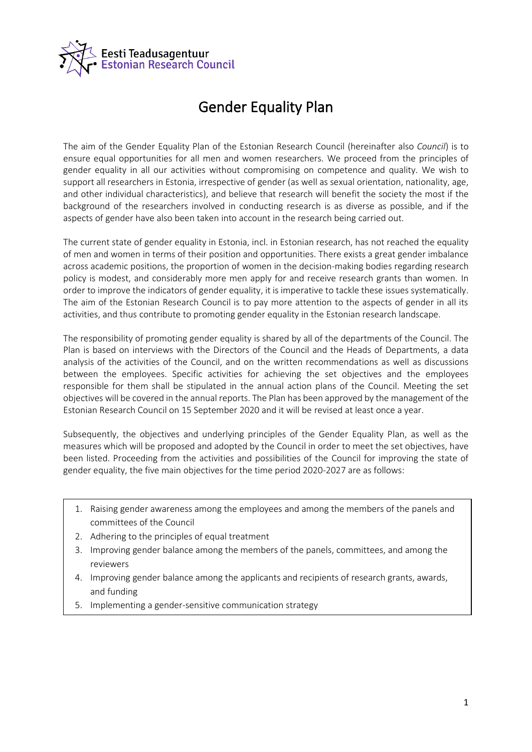

## Gender Equality Plan

The aim of the Gender Equality Plan of the Estonian Research Council (hereinafter also *Council*) is to ensure equal opportunities for all men and women researchers. We proceed from the principles of gender equality in all our activities without compromising on competence and quality. We wish to support all researchers in Estonia, irrespective of gender (as well as sexual orientation, nationality, age, and other individual characteristics), and believe that research will benefit the society the most if the background of the researchers involved in conducting research is as diverse as possible, and if the aspects of gender have also been taken into account in the research being carried out.

The current state of gender equality in Estonia, incl. in Estonian research, has not reached the equality of men and women in terms of their position and opportunities. There exists a great gender imbalance across academic positions, the proportion of women in the decision-making bodies regarding research policy is modest, and considerably more men apply for and receive research grants than women. In order to improve the indicators of gender equality, it is imperative to tackle these issues systematically. The aim of the Estonian Research Council is to pay more attention to the aspects of gender in all its activities, and thus contribute to promoting gender equality in the Estonian research landscape.

The responsibility of promoting gender equality is shared by all of the departments of the Council. The Plan is based on interviews with the Directors of the Council and the Heads of Departments, a data analysis of the activities of the Council, and on the written recommendations as well as discussions between the employees. Specific activities for achieving the set objectives and the employees responsible for them shall be stipulated in the annual action plans of the Council. Meeting the set objectives will be covered in the annual reports. The Plan has been approved by the management of the Estonian Research Council on 15 September 2020 and it will be revised at least once a year.

Subsequently, the objectives and underlying principles of the Gender Equality Plan, as well as the measures which will be proposed and adopted by the Council in order to meet the set objectives, have been listed. Proceeding from the activities and possibilities of the Council for improving the state of gender equality, the five main objectives for the time period 2020-2027 are as follows:

- 1. Raising gender awareness among the employees and among the members of the panels and committees of the Council
- 2. Adhering to the principles of equal treatment
- 3. Improving gender balance among the members of the panels, committees, and among the reviewers
- 4. Improving gender balance among the applicants and recipients of research grants, awards, and funding
- 5. Implementing a gender-sensitive communication strategy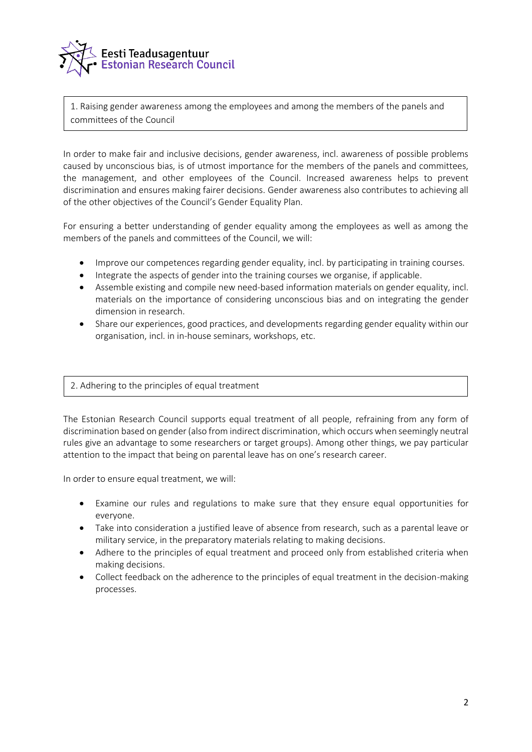

1. Raising gender awareness among the employees and among the members of the panels and committees of the Council

In order to make fair and inclusive decisions, gender awareness, incl. awareness of possible problems caused by unconscious bias, is of utmost importance for the members of the panels and committees, the management, and other employees of the Council. Increased awareness helps to prevent discrimination and ensures making fairer decisions. Gender awareness also contributes to achieving all of the other objectives of the Council's Gender Equality Plan.

For ensuring a better understanding of gender equality among the employees as well as among the members of the panels and committees of the Council, we will:

- Improve our competences regarding gender equality, incl. by participating in training courses.
- Integrate the aspects of gender into the training courses we organise, if applicable.
- Assemble existing and compile new need-based information materials on gender equality, incl. materials on the importance of considering unconscious bias and on integrating the gender dimension in research.
- Share our experiences, good practices, and developments regarding gender equality within our organisation, incl. in in-house seminars, workshops, etc.

## 2. Adhering to the principles of equal treatment

The Estonian Research Council supports equal treatment of all people, refraining from any form of discrimination based on gender (also from indirect discrimination, which occurs when seemingly neutral rules give an advantage to some researchers or target groups). Among other things, we pay particular attention to the impact that being on parental leave has on one's research career.

In order to ensure equal treatment, we will:

- Examine our rules and regulations to make sure that they ensure equal opportunities for everyone.
- Take into consideration a justified leave of absence from research, such as a parental leave or military service, in the preparatory materials relating to making decisions.
- Adhere to the principles of equal treatment and proceed only from established criteria when making decisions.
- Collect feedback on the adherence to the principles of equal treatment in the decision-making processes.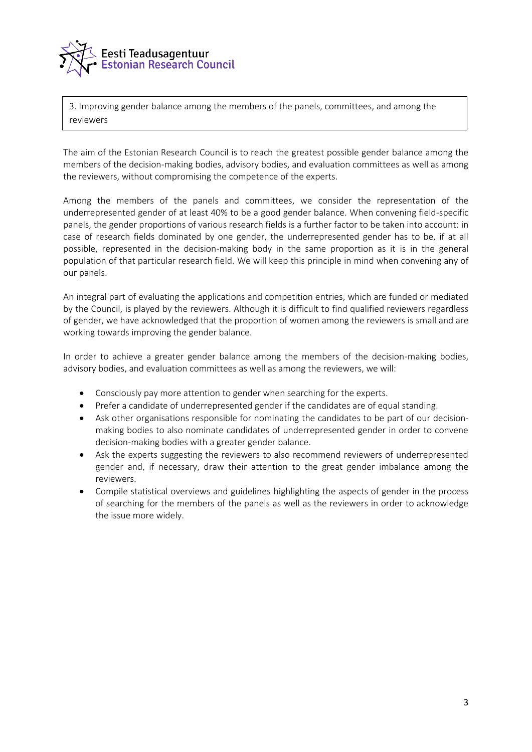

3. Improving gender balance among the members of the panels, committees, and among the reviewers

The aim of the Estonian Research Council is to reach the greatest possible gender balance among the members of the decision-making bodies, advisory bodies, and evaluation committees as well as among the reviewers, without compromising the competence of the experts.

Among the members of the panels and committees, we consider the representation of the underrepresented gender of at least 40% to be a good gender balance. When convening field-specific panels, the gender proportions of various research fields is a further factor to be taken into account: in case of research fields dominated by one gender, the underrepresented gender has to be, if at all possible, represented in the decision-making body in the same proportion as it is in the general population of that particular research field. We will keep this principle in mind when convening any of our panels.

An integral part of evaluating the applications and competition entries, which are funded or mediated by the Council, is played by the reviewers. Although it is difficult to find qualified reviewers regardless of gender, we have acknowledged that the proportion of women among the reviewers is small and are working towards improving the gender balance.

In order to achieve a greater gender balance among the members of the decision-making bodies, advisory bodies, and evaluation committees as well as among the reviewers, we will:

- Consciously pay more attention to gender when searching for the experts.
- Prefer a candidate of underrepresented gender if the candidates are of equal standing.
- Ask other organisations responsible for nominating the candidates to be part of our decisionmaking bodies to also nominate candidates of underrepresented gender in order to convene decision-making bodies with a greater gender balance.
- Ask the experts suggesting the reviewers to also recommend reviewers of underrepresented gender and, if necessary, draw their attention to the great gender imbalance among the reviewers.
- Compile statistical overviews and guidelines highlighting the aspects of gender in the process of searching for the members of the panels as well as the reviewers in order to acknowledge the issue more widely.